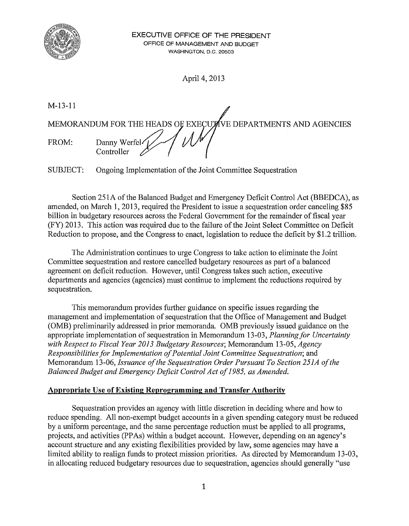

April 4, 2013

M-13-11 MEMORANDUM FOR THE HEADS OF EXECUTIVE DEPARTMENTS AND AGENCIES Danny Werfel FROM: Controller

SUBJECT: Ongoing Implementation of the Joint Committee Sequestration

Section 251A of the Balanced Budget and Emergency Deficit Control Act (BBEDCA), as amended, on March 1, 2013, required the President to issue a sequestration order canceling \$85 billion in budgetary resources across the Federal Government for the remainder of fiscal year (FY) 2013. This action was required due to the failure of the Joint Select Committee on Deficit Reduction to propose, and the Congress to enact, legislation to reduce the deficit by \$1.2 trillion.

The Administration continues to urge Congress to take action to eliminate the Joint Committee sequestration and restore cancelled budgetary resources as part of a balanced agreement on deficit reduction. However, until Congress takes such action, executive departments and agencies (agencies) must continue to implement the reductions required by sequestration.

This memorandum provides further guidance on specific issues regarding the management and implementation of sequestration that the Office of Management and Budget (OMB) preliminarily addressed in prior memoranda. OMB previously issued guidance on the appropriate implementation of sequestration in Memorandum 13-03, *Planning for Uncertainty with Respect to Fiscal Year 2013 Budgetary Resources;* Memorandum 13-05, *Agency Responsibilities for Implementation of Potential Joint Committee Sequestration;* and Memorandum 13-06, *Issuance of the Sequestration Order Pursuant To Section 251A of the Balanced Budget and Emergency Deficit Control Act of1985, as Amended.* 

## **Appropriate Use of Existing Reprogramming and Transfer Authority**

Sequestration provides an agency with little discretion in deciding where and how to reduce spending. All non-exempt budget accounts in a given spending category must be reduced by a uniform percentage, and the same percentage reduction must be applied to all programs, projects, and activities (PPAs) within a budget account. However, depending on an agency's account structure and any existing flexibilities provided by law, some agencies may have a limited ability to realign funds to protect mission priorities. As directed by Memorandum 13-03, in allocating reduced budgetary resources due to sequestration, agencies should generally "use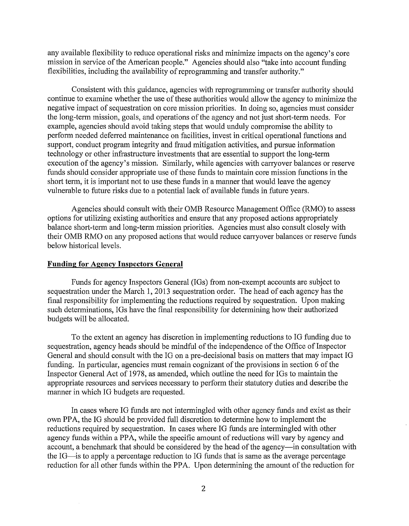any available flexibility to reduce operational risks and minimize impacts on the agency's core mission in service of the American people." Agencies should also "take into account funding flexibilities, including the availability of reprogramming and transfer authority."

Consistent with this guidance, agencies with reprogramming or transfer authority should continue to examine whether the use of these authorities would allow the agency to minimize the negative impact of sequestration on core mission priorities. In doing so, agencies must consider the long-term mission, goals, and operations of the agency and not just short-term needs. For example, agencies should avoid taking steps that would unduly compromise the ability to perform needed deferred maintenance on facilities, invest in critical operational functions and support, conduct program integrity and fraud mitigation activities, and pursue information technology or other infrastructure investments that are essential to support the long-term execution of the agency's mission. Similarly, while agencies with carryover balances or reserve funds should consider appropriate use of these funds to maintain core mission functions in the short term, it is important not to use these funds in a manner that would leave the agency vulnerable to future risks due to a potential lack of available funds in future years.

Agencies should consult with their OMB Resource Management Office (RMO) to assess options for utilizing existing authorities and ensure that any proposed actions appropriately balance short-term and long-term mission priorities. Agencies must also consult closely with their OMB RMO on any proposed actions that would reduce carryover balances or reserve funds below historical levels.

## **Funding for Agency Inspectors General**

Funds for agency Inspectors General (IGs) from non-exempt accounts are subject to sequestration under the March 1, 2013 sequestration order. The head of each agency has the final responsibility for implementing the reductions required by sequestration. Upon making such determinations, IGs have the final responsibility for determining how their authorized budgets will be allocated.

To the extent an agency has discretion in implementing reductions to IG funding due to sequestration, agency heads should be mindful of the independence of the Office of Inspector General and should consult with the IG on a pre-decisional basis on matters that may impact IG funding. In particular, agencies must remain cognizant of the provisions in section  $6$  of the Inspector General Act of 1978, as amended, which outline the need for IGs to maintain the appropriate resources and services necessary to perform their statutory duties and describe the manner in which IG budgets are requested.

In cases where IG funds are not intermingled with other agency funds and exist as their own PPA, the IG should be provided full discretion to determine how to implement the reductions required by sequestration. In cases where IG funds are intermingled with other agency funds within a PPA, while the specific amount of reductions will vary by agency and account, a benchmark that should be considered by the head of the agency-in consultation with the IG-is to apply a percentage reduction to IG funds that is same as the average percentage reduction for all other funds within the PPA. Upon determining the amount of the reduction for